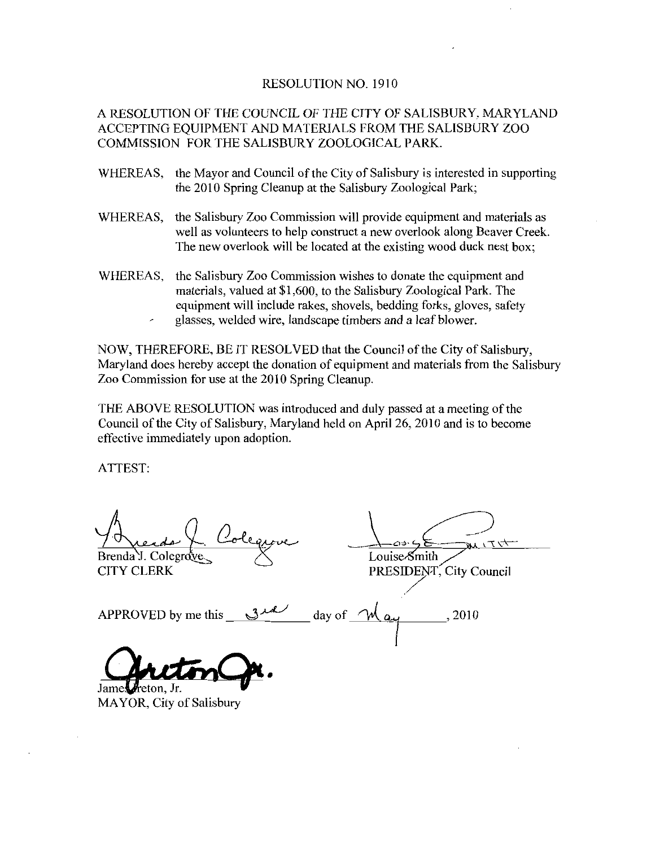## RESOLUTION NO. 1910

## A RESOLUTION OF THE COUNCIL OF THE CITY OF SALISBURY MARYLAND ACCEPTING EQUIPMENT AND MATERIALS FROM THE SALISBURY ZOO COMMISSION FOR THE SALISBURY ZOOLOGICAL PARK

- WHEREAS, the Mayor and Council of the City of Salisbury is interested in supporting the 2010 Spring Cleanup at the Salisbury Zoological Park
- WHEREAS, the Salisbury Zoo Commission will provide equipment and materials as well as volunteers to help construct a new overlook along Beaver Creek. The new overlook will be located at the existing wood duck nest box
- WHEREAS, the Salisbury Zoo Commission wishes to donate the equipment and The new overlook will be located at the existing wood duck nest bo<br>the Salisbury Zoo Commission wishes to donate the equipment and<br>materials, valued at \$1,600, to the Salisbury Zoological Park. The<br>equipment will include r glasses, welded wire, landscape timbers and a leaf blower.

NOW, THEREFORE, BE IT RESOLVED that the Council of the City of Salisbury, Maryland does hereby accept the donation of equipment and materials from the Salisbury Zoo Commission for use at the 2010 Spring Cleanup

THE ABOVE RESOLUTION was introduced and duly passed at a meeting of the Council of the City of Salisbury, Maryland held on April 26, 2010 and is to become effective immediately upon adoption

ATTEST

Cofie Brenda J. Colegrove.

CITY CLERK

Louise-Smith

PRESIDENT, City Council

APPROVED by methis day of  $\mathcal{M}_{\alpha\mu}$ , 2010

Jame MAYOR, City of Salisbury